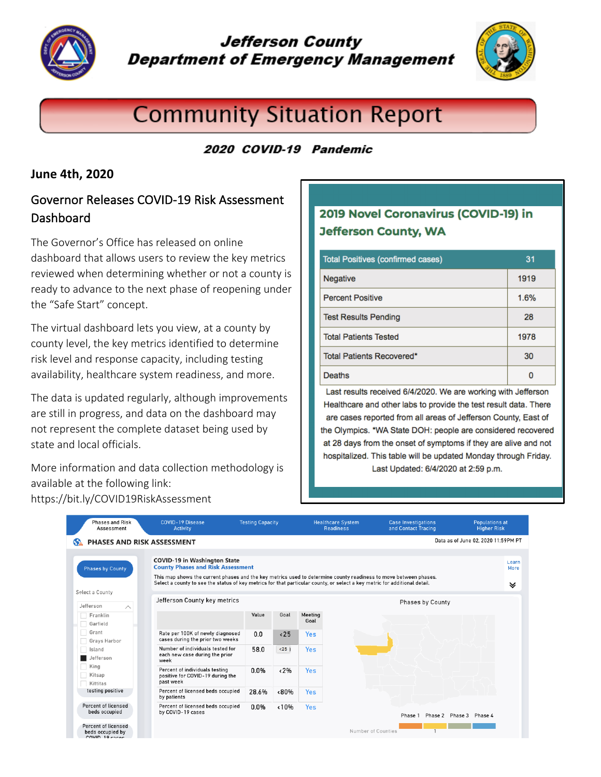

## **Jefferson County Department of Emergency Management**



# **Community Situation Report**

## 2020 COVID-19 Pandemic

### **June 4th, 2020**

## Governor Releases COVID-19 Risk Assessment **Dashboard**

The Governor's Office has released on online dashboard that allows users to review the key metrics reviewed when determining whether or not a county is ready to advance to the next phase of reopening under the "Safe Start" concept.

The virtual dashboard lets you view, at a county by county level, the key metrics identified to determine risk level and response capacity, including testing availability, healthcare system readiness, and more.

The data is updated regularly, although improvements are still in progress, and data on the dashboard may not represent the complete dataset being used by state and local officials.

More information and data collection methodology is available at the following link: https://bit.ly/COVID19RiskAssessment

## 2019 Novel Coronavirus (COVID-19) in **Jefferson County, WA**

| <b>Total Positives (confirmed cases)</b> | 31   |
|------------------------------------------|------|
| Negative                                 | 1919 |
| <b>Percent Positive</b>                  | 1.6% |
| <b>Test Results Pending</b>              | 28   |
| <b>Total Patients Tested</b>             | 1978 |
| Total Patients Recovered*                | 30   |
| Deaths                                   |      |

Last results received 6/4/2020. We are working with Jefferson Healthcare and other labs to provide the test result data. There are cases reported from all areas of Jefferson County, East of the Olympics. \*WA State DOH: people are considered recovered at 28 days from the onset of symptoms if they are alive and not hospitalized. This table will be updated Monday through Friday. Last Updated: 6/4/2020 at 2:59 p.m.

| Phases and Risk<br>Assessment                                            | <b>COVID-19 Disease</b><br>Activity                                                                                                                                                                                                                                                                                               | <b>Testing Capacity</b> |              | <b>Healthcare System</b><br><b>Readiness</b> |                    | <b>Case Investigations</b><br>and Contact Tracing | <b>Populations at</b><br><b>Higher Risk</b> |  |
|--------------------------------------------------------------------------|-----------------------------------------------------------------------------------------------------------------------------------------------------------------------------------------------------------------------------------------------------------------------------------------------------------------------------------|-------------------------|--------------|----------------------------------------------|--------------------|---------------------------------------------------|---------------------------------------------|--|
| Data as of June 02, 2020 11:59PM PT<br><b>PHASES AND RISK ASSESSMENT</b> |                                                                                                                                                                                                                                                                                                                                   |                         |              |                                              |                    |                                                   |                                             |  |
| <b>Phases by County</b>                                                  | <b>COVID-19 in Washington State</b><br><b>County Phases and Risk Assessment</b><br>This map shows the current phases and the key metrics used to determine county readiness to move between phases.<br>Select a county to see the status of key metrics for that particular county, or select a key metric for additional detail. |                         |              |                                              |                    |                                                   | Learn<br>More<br>է                          |  |
| Select a County<br>Jefferson<br>$\wedge$                                 | Jefferson County key metrics                                                                                                                                                                                                                                                                                                      |                         |              |                                              |                    | <b>Phases by County</b>                           |                                             |  |
| Franklin<br>Garfield                                                     |                                                                                                                                                                                                                                                                                                                                   | Value                   | Goal         | Meeting<br>Goal                              |                    |                                                   |                                             |  |
| Grant<br>Grays Harbor                                                    | Rate per 100K of newly diagnosed<br>cases during the prior two weeks                                                                                                                                                                                                                                                              | 0.0                     | $\langle 25$ | Yes                                          |                    |                                                   |                                             |  |
| Island<br>Jefferson                                                      | Number of individuals tested for<br>each new case during the prior<br>week                                                                                                                                                                                                                                                        | 58.0                    | < 25         | Yes                                          |                    |                                                   |                                             |  |
| King<br>Kitsap<br>Kittitas                                               | Percent of individuals testing<br>positive for COVID-19 during the<br>past week                                                                                                                                                                                                                                                   | 0.0%                    | $~12\%$      | <b>Yes</b>                                   |                    |                                                   |                                             |  |
| testing positive                                                         | Percent of licensed beds occupied<br>by patients                                                                                                                                                                                                                                                                                  | 28.6%                   | <80%         | Yes                                          |                    |                                                   |                                             |  |
| Percent of licensed<br>beds occupied                                     | Percent of licensed beds occupied<br>by COVID-19 cases                                                                                                                                                                                                                                                                            | 0.0%                    | 10%          | Yes                                          |                    | Phase 1                                           | Phase 2 Phase 3 Phase 4                     |  |
| Percent of licensed<br>beds occupied by<br>COVID-19 cases                |                                                                                                                                                                                                                                                                                                                                   |                         |              |                                              | Number of Counties |                                                   |                                             |  |